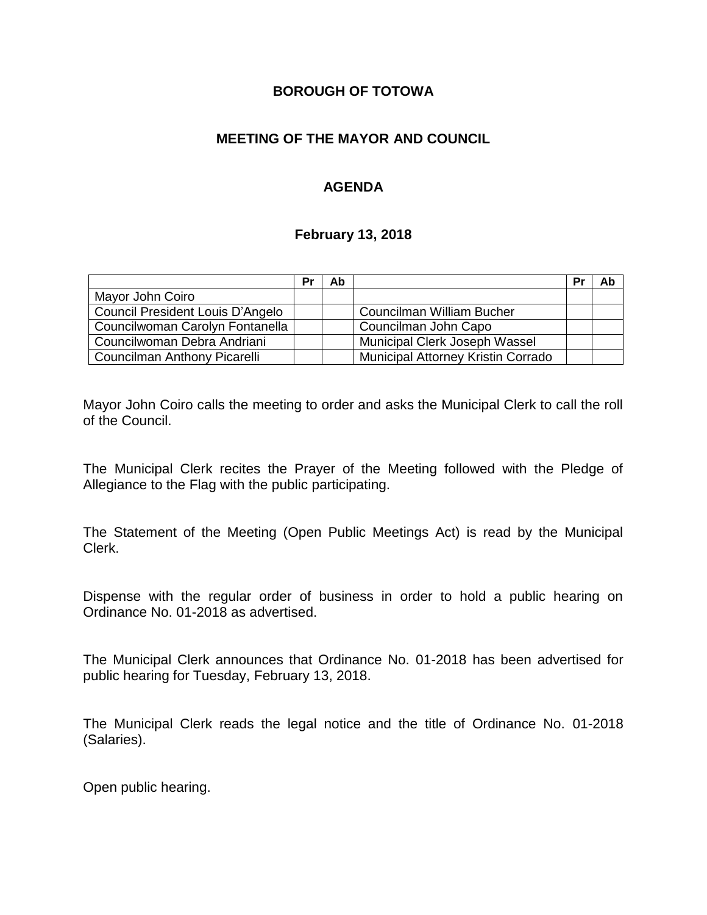### **BOROUGH OF TOTOWA**

## **MEETING OF THE MAYOR AND COUNCIL**

## **AGENDA**

#### **February 13, 2018**

|                                  | Pr | Ab |                                    | Pr | Ab |
|----------------------------------|----|----|------------------------------------|----|----|
| Mayor John Coiro                 |    |    |                                    |    |    |
| Council President Louis D'Angelo |    |    | Councilman William Bucher          |    |    |
| Councilwoman Carolyn Fontanella  |    |    | Councilman John Capo               |    |    |
| Councilwoman Debra Andriani      |    |    | Municipal Clerk Joseph Wassel      |    |    |
| Councilman Anthony Picarelli     |    |    | Municipal Attorney Kristin Corrado |    |    |

Mayor John Coiro calls the meeting to order and asks the Municipal Clerk to call the roll of the Council.

The Municipal Clerk recites the Prayer of the Meeting followed with the Pledge of Allegiance to the Flag with the public participating.

The Statement of the Meeting (Open Public Meetings Act) is read by the Municipal Clerk.

Dispense with the regular order of business in order to hold a public hearing on Ordinance No. 01-2018 as advertised.

The Municipal Clerk announces that Ordinance No. 01-2018 has been advertised for public hearing for Tuesday, February 13, 2018.

The Municipal Clerk reads the legal notice and the title of Ordinance No. 01-2018 (Salaries).

Open public hearing.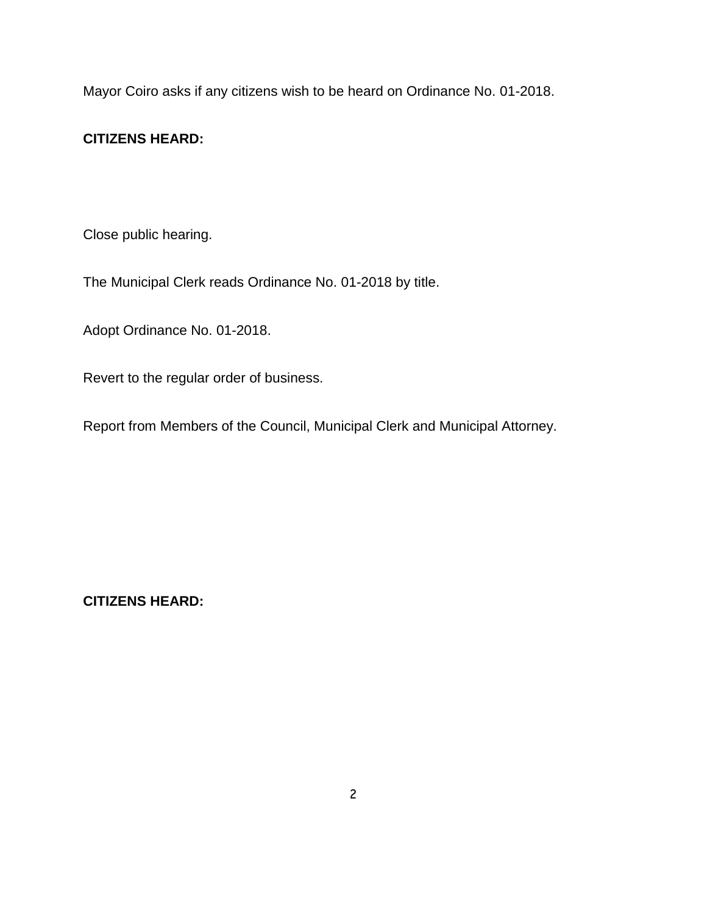Mayor Coiro asks if any citizens wish to be heard on Ordinance No. 01-2018.

# **CITIZENS HEARD:**

Close public hearing.

The Municipal Clerk reads Ordinance No. 01-2018 by title.

Adopt Ordinance No. 01-2018.

Revert to the regular order of business.

Report from Members of the Council, Municipal Clerk and Municipal Attorney.

**CITIZENS HEARD:**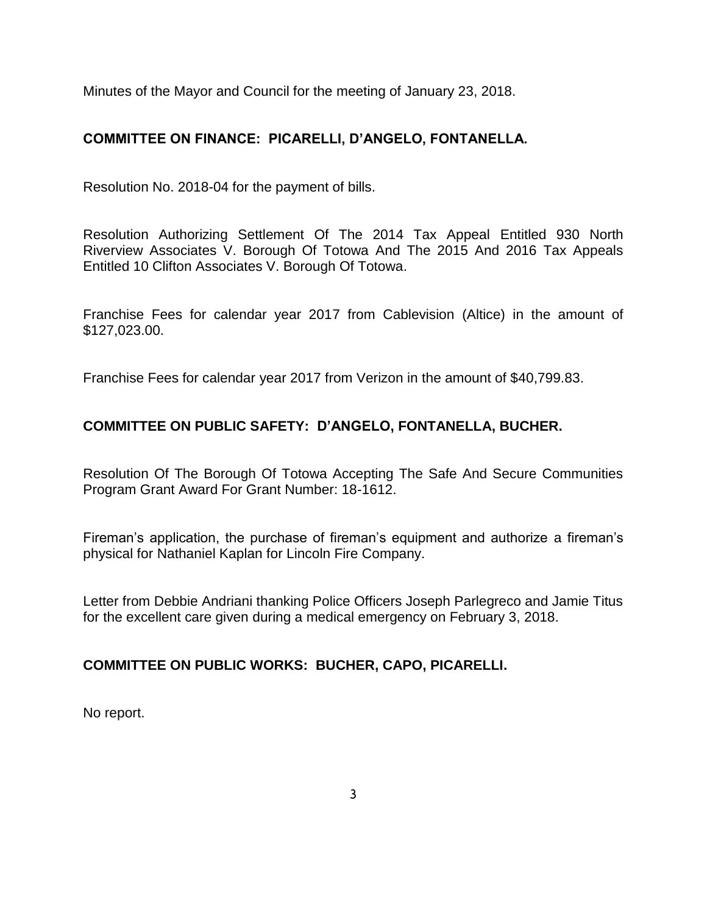Minutes of the Mayor and Council for the meeting of January 23, 2018.

# **COMMITTEE ON FINANCE: PICARELLI, D'ANGELO, FONTANELLA.**

Resolution No. 2018-04 for the payment of bills.

Resolution Authorizing Settlement Of The 2014 Tax Appeal Entitled 930 North Riverview Associates V. Borough Of Totowa And The 2015 And 2016 Tax Appeals Entitled 10 Clifton Associates V. Borough Of Totowa.

Franchise Fees for calendar year 2017 from Cablevision (Altice) in the amount of \$127,023.00.

Franchise Fees for calendar year 2017 from Verizon in the amount of \$40,799.83.

# **COMMITTEE ON PUBLIC SAFETY: D'ANGELO, FONTANELLA, BUCHER.**

Resolution Of The Borough Of Totowa Accepting The Safe And Secure Communities Program Grant Award For Grant Number: 18-1612.

Fireman's application, the purchase of fireman's equipment and authorize a fireman's physical for Nathaniel Kaplan for Lincoln Fire Company.

Letter from Debbie Andriani thanking Police Officers Joseph Parlegreco and Jamie Titus for the excellent care given during a medical emergency on February 3, 2018.

# **COMMITTEE ON PUBLIC WORKS: BUCHER, CAPO, PICARELLI.**

No report.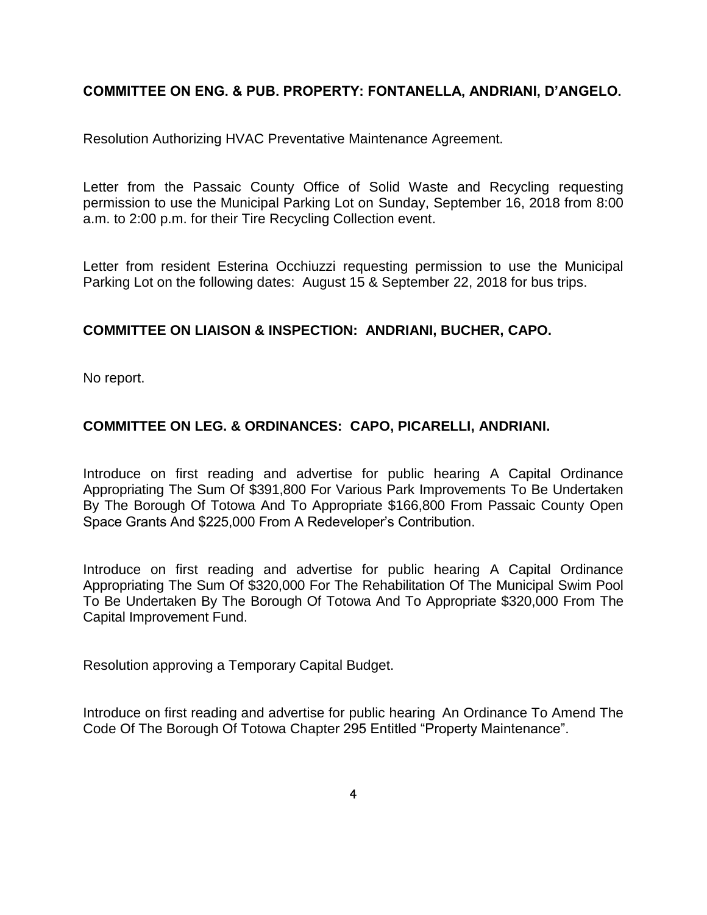# **COMMITTEE ON ENG. & PUB. PROPERTY: FONTANELLA, ANDRIANI, D'ANGELO.**

Resolution Authorizing HVAC Preventative Maintenance Agreement.

Letter from the Passaic County Office of Solid Waste and Recycling requesting permission to use the Municipal Parking Lot on Sunday, September 16, 2018 from 8:00 a.m. to 2:00 p.m. for their Tire Recycling Collection event.

Letter from resident Esterina Occhiuzzi requesting permission to use the Municipal Parking Lot on the following dates: August 15 & September 22, 2018 for bus trips.

### **COMMITTEE ON LIAISON & INSPECTION: ANDRIANI, BUCHER, CAPO.**

No report.

# **COMMITTEE ON LEG. & ORDINANCES: CAPO, PICARELLI, ANDRIANI.**

Introduce on first reading and advertise for public hearing A Capital Ordinance Appropriating The Sum Of \$391,800 For Various Park Improvements To Be Undertaken By The Borough Of Totowa And To Appropriate \$166,800 From Passaic County Open Space Grants And \$225,000 From A Redeveloper's Contribution.

Introduce on first reading and advertise for public hearing A Capital Ordinance Appropriating The Sum Of \$320,000 For The Rehabilitation Of The Municipal Swim Pool To Be Undertaken By The Borough Of Totowa And To Appropriate \$320,000 From The Capital Improvement Fund.

Resolution approving a Temporary Capital Budget.

Introduce on first reading and advertise for public hearing An Ordinance To Amend The Code Of The Borough Of Totowa Chapter 295 Entitled "Property Maintenance".